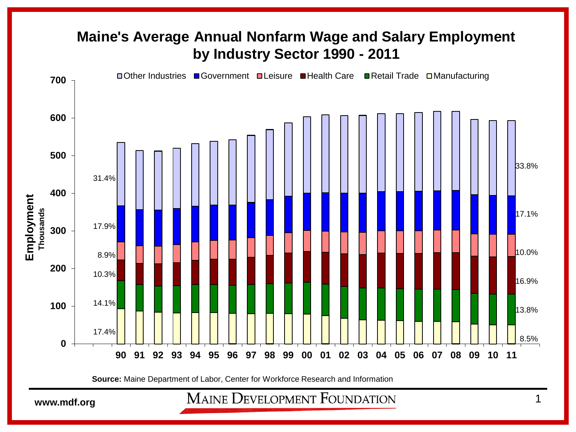## **Maine's Average Annual Nonfarm Wage and Salary Employment by Industry Sector 1990 - 2011**



**Source:** Maine Department of Labor, Center for Workforce Research and Information

**WAINE DEVELOPMENT FOUNDATION** 1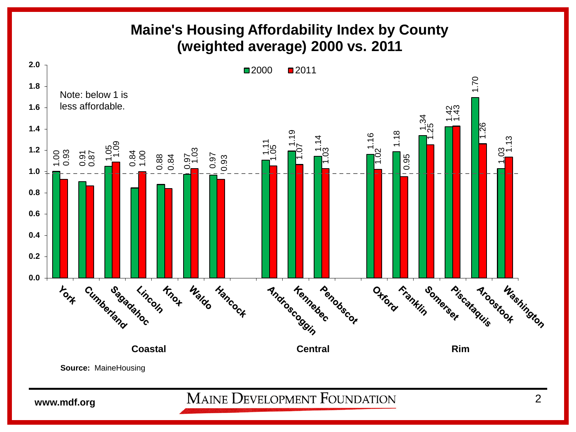## **Maine's Housing Affordability Index by County (weighted average) 2000 vs. 2011**

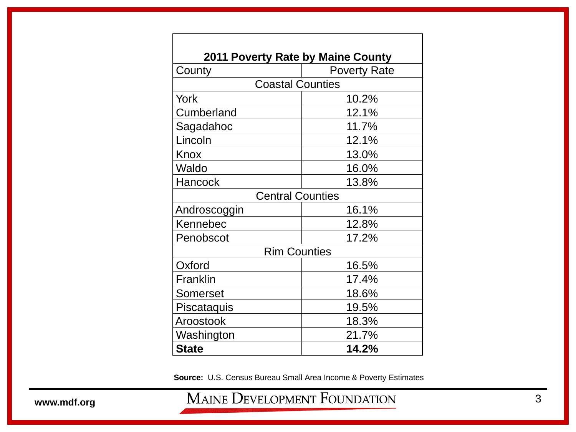| <b>2011 Poverty Rate by Maine County</b> |                     |
|------------------------------------------|---------------------|
| County                                   | <b>Poverty Rate</b> |
| <b>Coastal Counties</b>                  |                     |
| York                                     | 10.2%               |
| Cumberland                               | 12.1%               |
| Sagadahoc                                | 11.7%               |
| Lincoln                                  | 12.1%               |
| Knox                                     | 13.0%               |
| Waldo                                    | 16.0%               |
| Hancock                                  | 13.8%               |
| <b>Central Counties</b>                  |                     |
| Androscoggin                             | 16.1%               |
| Kennebec                                 | 12.8%               |
| Penobscot                                | 17.2%               |
| <b>Rim Counties</b>                      |                     |
| Oxford                                   | 16.5%               |
| Franklin                                 | 17.4%               |
| Somerset                                 | 18.6%               |
| Piscataquis                              | 19.5%               |
| Aroostook                                | 18.3%               |
| Washington                               | 21.7%               |
| <b>State</b>                             | 14.2%               |

**Source:** U.S. Census Bureau Small Area Income & Poverty Estimates

www.mdf.org MAINE DEVELOPMENT FOUNDATION 3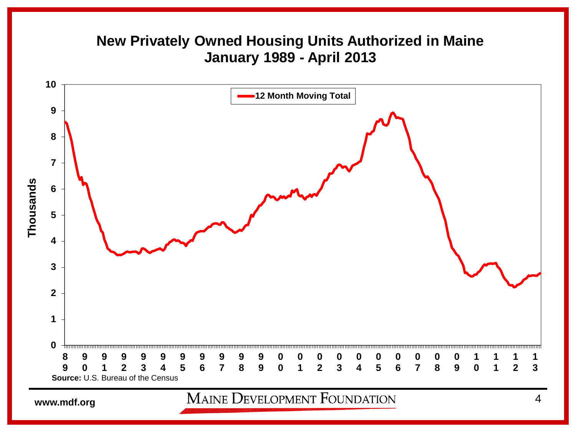## **New Privately Owned Housing Units Authorized in Maine January 1989 - April 2013**